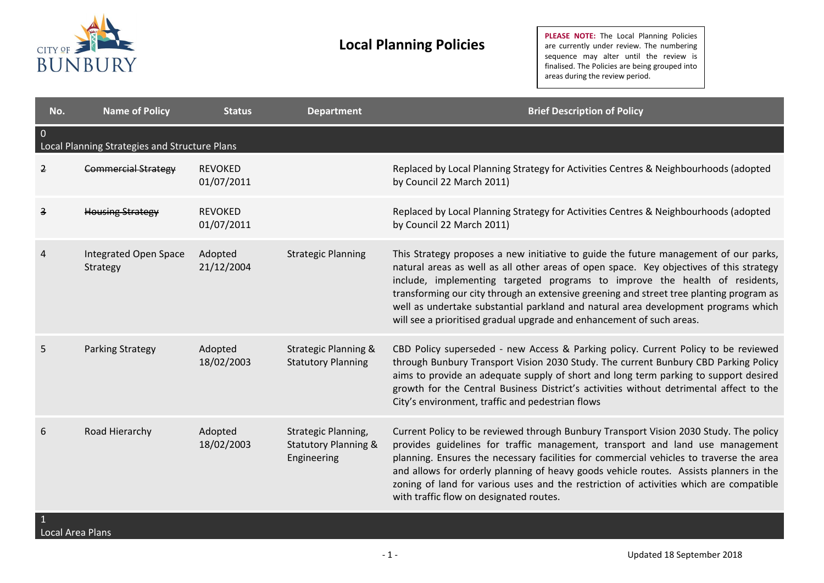

| No.                 | <b>Name of Policy</b>                         | <b>Status</b>                | <b>Department</b>                                                     | <b>Brief Description of Policy</b>                                                                                                                                                                                                                                                                                                                                                                                                                                                                                       |
|---------------------|-----------------------------------------------|------------------------------|-----------------------------------------------------------------------|--------------------------------------------------------------------------------------------------------------------------------------------------------------------------------------------------------------------------------------------------------------------------------------------------------------------------------------------------------------------------------------------------------------------------------------------------------------------------------------------------------------------------|
| $\overline{0}$      | Local Planning Strategies and Structure Plans |                              |                                                                       |                                                                                                                                                                                                                                                                                                                                                                                                                                                                                                                          |
| $\overline{2}$      | <b>Commercial Strategy</b>                    | <b>REVOKED</b><br>01/07/2011 |                                                                       | Replaced by Local Planning Strategy for Activities Centres & Neighbourhoods (adopted<br>by Council 22 March 2011)                                                                                                                                                                                                                                                                                                                                                                                                        |
| $\overline{3}$      | <b>Housing Strategy</b>                       | <b>REVOKED</b><br>01/07/2011 |                                                                       | Replaced by Local Planning Strategy for Activities Centres & Neighbourhoods (adopted<br>by Council 22 March 2011)                                                                                                                                                                                                                                                                                                                                                                                                        |
| 4                   | Integrated Open Space<br>Strategy             | Adopted<br>21/12/2004        | <b>Strategic Planning</b>                                             | This Strategy proposes a new initiative to guide the future management of our parks,<br>natural areas as well as all other areas of open space. Key objectives of this strategy<br>include, implementing targeted programs to improve the health of residents,<br>transforming our city through an extensive greening and street tree planting program as<br>well as undertake substantial parkland and natural area development programs which<br>will see a prioritised gradual upgrade and enhancement of such areas. |
| 5                   | Parking Strategy                              | Adopted<br>18/02/2003        | <b>Strategic Planning &amp;</b><br><b>Statutory Planning</b>          | CBD Policy superseded - new Access & Parking policy. Current Policy to be reviewed<br>through Bunbury Transport Vision 2030 Study. The current Bunbury CBD Parking Policy<br>aims to provide an adequate supply of short and long term parking to support desired<br>growth for the Central Business District's activities without detrimental affect to the<br>City's environment, traffic and pedestrian flows                                                                                                         |
| 6<br>$\overline{1}$ | Road Hierarchy                                | Adopted<br>18/02/2003        | Strategic Planning,<br><b>Statutory Planning &amp;</b><br>Engineering | Current Policy to be reviewed through Bunbury Transport Vision 2030 Study. The policy<br>provides guidelines for traffic management, transport and land use management<br>planning. Ensures the necessary facilities for commercial vehicles to traverse the area<br>and allows for orderly planning of heavy goods vehicle routes. Assists planners in the<br>zoning of land for various uses and the restriction of activities which are compatible<br>with traffic flow on designated routes.                         |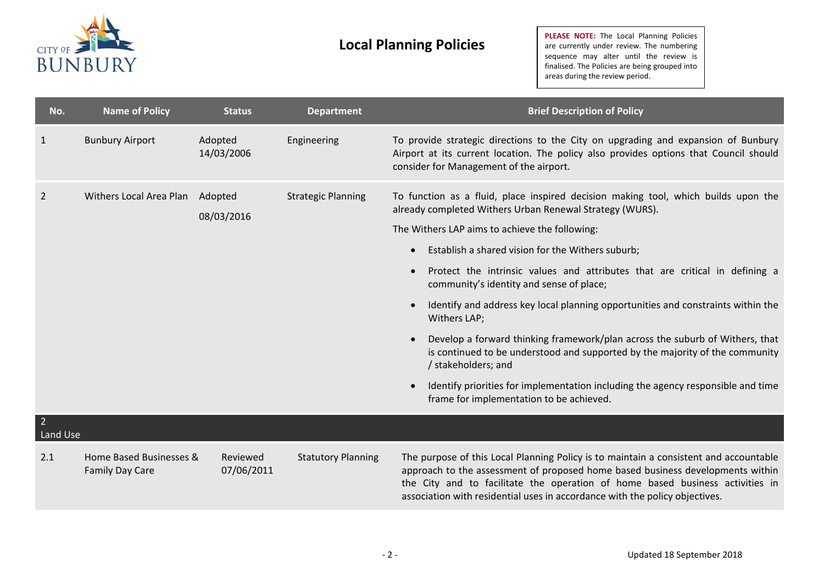

| No.                        | <b>Name of Policy</b>                      | <b>Status</b>          | <b>Department</b>         | <b>Brief Description of Policy</b>                                                                                                                                                                                                                                                                                                      |
|----------------------------|--------------------------------------------|------------------------|---------------------------|-----------------------------------------------------------------------------------------------------------------------------------------------------------------------------------------------------------------------------------------------------------------------------------------------------------------------------------------|
| 1                          | <b>Bunbury Airport</b>                     | Adopted<br>14/03/2006  | Engineering               | To provide strategic directions to the City on upgrading and expansion of Bunbury<br>Airport at its current location. The policy also provides options that Council should<br>consider for Management of the airport.                                                                                                                   |
| $\overline{2}$             | Withers Local Area Plan Adopted            | 08/03/2016             | <b>Strategic Planning</b> | To function as a fluid, place inspired decision making tool, which builds upon the<br>already completed Withers Urban Renewal Strategy (WURS).<br>The Withers LAP aims to achieve the following:                                                                                                                                        |
|                            |                                            |                        |                           | Establish a shared vision for the Withers suburb;<br>$\bullet$                                                                                                                                                                                                                                                                          |
|                            |                                            |                        |                           | Protect the intrinsic values and attributes that are critical in defining a<br>$\bullet$<br>community's identity and sense of place;                                                                                                                                                                                                    |
|                            |                                            |                        |                           | Identify and address key local planning opportunities and constraints within the<br>$\bullet$<br>Withers LAP;                                                                                                                                                                                                                           |
|                            |                                            |                        |                           | Develop a forward thinking framework/plan across the suburb of Withers, that<br>$\bullet$<br>is continued to be understood and supported by the majority of the community<br>/ stakeholders; and                                                                                                                                        |
|                            |                                            |                        |                           | Identify priorities for implementation including the agency responsible and time<br>$\bullet$<br>frame for implementation to be achieved.                                                                                                                                                                                               |
| $\overline{2}$<br>Land Use |                                            |                        |                           |                                                                                                                                                                                                                                                                                                                                         |
| 2.1                        | Home Based Businesses &<br>Family Day Care | Reviewed<br>07/06/2011 | <b>Statutory Planning</b> | The purpose of this Local Planning Policy is to maintain a consistent and accountable<br>approach to the assessment of proposed home based business developments within<br>the City and to facilitate the operation of home based business activities in<br>association with residential uses in accordance with the policy objectives. |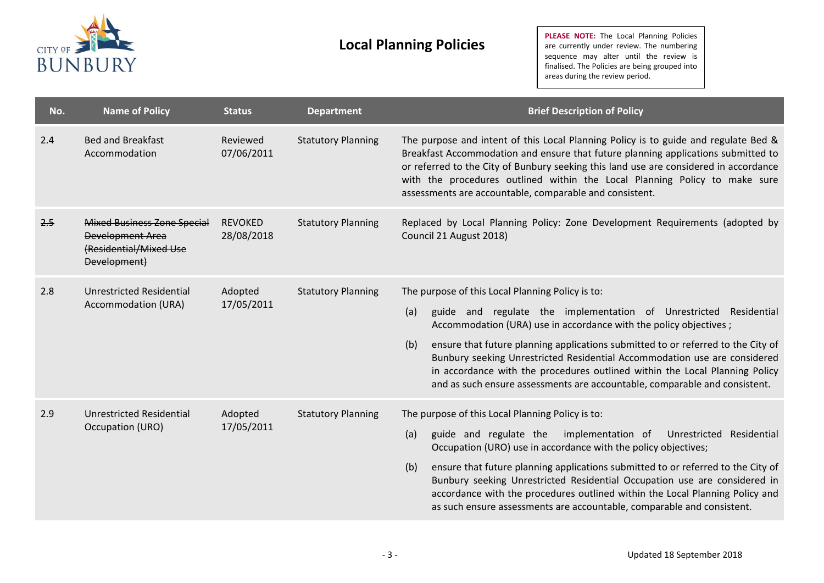

| No. | <b>Name of Policy</b>                                                                                   | <b>Status</b>                | <b>Department</b>         | <b>Brief Description of Policy</b>                                                                                                                                                                                                                                                                                                                                                                                                                                                                                                     |
|-----|---------------------------------------------------------------------------------------------------------|------------------------------|---------------------------|----------------------------------------------------------------------------------------------------------------------------------------------------------------------------------------------------------------------------------------------------------------------------------------------------------------------------------------------------------------------------------------------------------------------------------------------------------------------------------------------------------------------------------------|
| 2.4 | <b>Bed and Breakfast</b><br>Accommodation                                                               | Reviewed<br>07/06/2011       | <b>Statutory Planning</b> | The purpose and intent of this Local Planning Policy is to guide and regulate Bed &<br>Breakfast Accommodation and ensure that future planning applications submitted to<br>or referred to the City of Bunbury seeking this land use are considered in accordance<br>with the procedures outlined within the Local Planning Policy to make sure<br>assessments are accountable, comparable and consistent.                                                                                                                             |
| 2.5 | <b>Mixed Business Zone Special</b><br><b>Development Area</b><br>(Residential/Mixed Use<br>Development) | <b>REVOKED</b><br>28/08/2018 | <b>Statutory Planning</b> | Replaced by Local Planning Policy: Zone Development Requirements (adopted by<br>Council 21 August 2018)                                                                                                                                                                                                                                                                                                                                                                                                                                |
| 2.8 | Unrestricted Residential<br>Accommodation (URA)                                                         | Adopted<br>17/05/2011        | <b>Statutory Planning</b> | The purpose of this Local Planning Policy is to:<br>(a)<br>guide and regulate the implementation of Unrestricted Residential<br>Accommodation (URA) use in accordance with the policy objectives;<br>(b)<br>ensure that future planning applications submitted to or referred to the City of<br>Bunbury seeking Unrestricted Residential Accommodation use are considered<br>in accordance with the procedures outlined within the Local Planning Policy<br>and as such ensure assessments are accountable, comparable and consistent. |
| 2.9 | <b>Unrestricted Residential</b><br>Occupation (URO)                                                     | Adopted<br>17/05/2011        | <b>Statutory Planning</b> | The purpose of this Local Planning Policy is to:<br>implementation of<br>(a)<br>guide and regulate the<br>Unrestricted Residential<br>Occupation (URO) use in accordance with the policy objectives;<br>(b)<br>ensure that future planning applications submitted to or referred to the City of<br>Bunbury seeking Unrestricted Residential Occupation use are considered in<br>accordance with the procedures outlined within the Local Planning Policy and<br>as such ensure assessments are accountable, comparable and consistent. |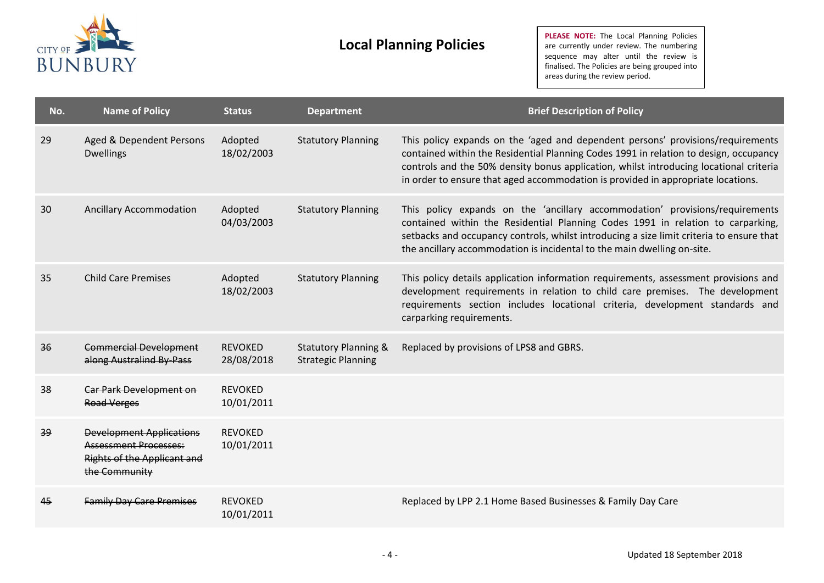

| No. | <b>Name of Policy</b>                                                                                                  | <b>Status</b>                | <b>Department</b>                                            | <b>Brief Description of Policy</b>                                                                                                                                                                                                                                                                                                                     |
|-----|------------------------------------------------------------------------------------------------------------------------|------------------------------|--------------------------------------------------------------|--------------------------------------------------------------------------------------------------------------------------------------------------------------------------------------------------------------------------------------------------------------------------------------------------------------------------------------------------------|
| 29  | Aged & Dependent Persons<br><b>Dwellings</b>                                                                           | Adopted<br>18/02/2003        | <b>Statutory Planning</b>                                    | This policy expands on the 'aged and dependent persons' provisions/requirements<br>contained within the Residential Planning Codes 1991 in relation to design, occupancy<br>controls and the 50% density bonus application, whilst introducing locational criteria<br>in order to ensure that aged accommodation is provided in appropriate locations. |
| 30  | <b>Ancillary Accommodation</b>                                                                                         | Adopted<br>04/03/2003        | <b>Statutory Planning</b>                                    | This policy expands on the 'ancillary accommodation' provisions/requirements<br>contained within the Residential Planning Codes 1991 in relation to carparking,<br>setbacks and occupancy controls, whilst introducing a size limit criteria to ensure that<br>the ancillary accommodation is incidental to the main dwelling on-site.                 |
| 35  | <b>Child Care Premises</b>                                                                                             | Adopted<br>18/02/2003        | <b>Statutory Planning</b>                                    | This policy details application information requirements, assessment provisions and<br>development requirements in relation to child care premises. The development<br>requirements section includes locational criteria, development standards and<br>carparking requirements.                                                                        |
| 36  | <b>Commercial Development</b><br>along Australind By-Pass                                                              | <b>REVOKED</b><br>28/08/2018 | <b>Statutory Planning &amp;</b><br><b>Strategic Planning</b> | Replaced by provisions of LPS8 and GBRS.                                                                                                                                                                                                                                                                                                               |
| 38  | Car Park Development on<br><b>Road Verges</b>                                                                          | <b>REVOKED</b><br>10/01/2011 |                                                              |                                                                                                                                                                                                                                                                                                                                                        |
| 39  | <b>Development Applications</b><br><b>Assessment Processes:</b><br><b>Rights of the Applicant and</b><br>the Community | <b>REVOKED</b><br>10/01/2011 |                                                              |                                                                                                                                                                                                                                                                                                                                                        |
| 45  | <b>Family Day Care Premises</b>                                                                                        | <b>REVOKED</b><br>10/01/2011 |                                                              | Replaced by LPP 2.1 Home Based Businesses & Family Day Care                                                                                                                                                                                                                                                                                            |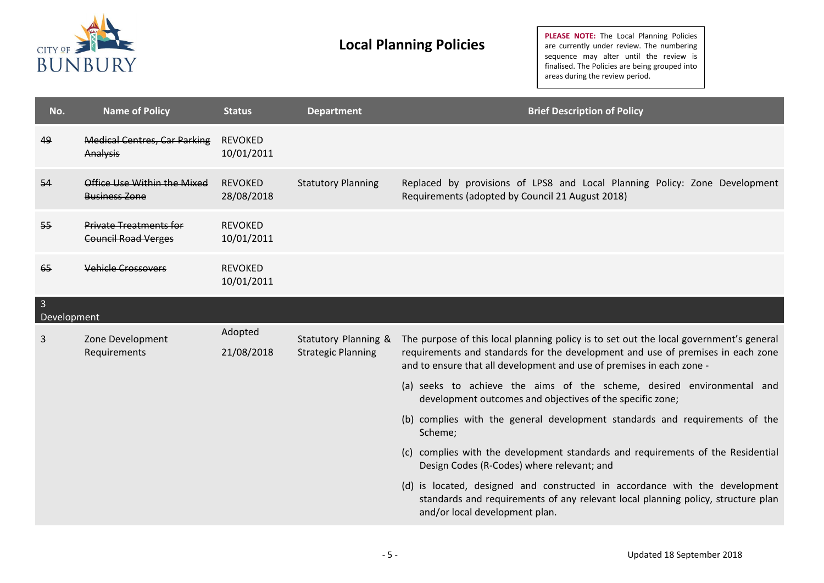

| No.                           | <b>Name of Policy</b>                                       | <b>Status</b>                | <b>Department</b>                                 | <b>Brief Description of Policy</b>                                                                                                                                                                                                                 |
|-------------------------------|-------------------------------------------------------------|------------------------------|---------------------------------------------------|----------------------------------------------------------------------------------------------------------------------------------------------------------------------------------------------------------------------------------------------------|
| 49                            | <b>Medical Centres, Car Parking</b><br>Analysis             | <b>REVOKED</b><br>10/01/2011 |                                                   |                                                                                                                                                                                                                                                    |
| 54                            | Office Use Within the Mixed<br><b>Business Zone</b>         | <b>REVOKED</b><br>28/08/2018 | <b>Statutory Planning</b>                         | Replaced by provisions of LPS8 and Local Planning Policy: Zone Development<br>Requirements (adopted by Council 21 August 2018)                                                                                                                     |
| $55 -$                        | <b>Private Treatments for</b><br><b>Council Road Verges</b> | <b>REVOKED</b><br>10/01/2011 |                                                   |                                                                                                                                                                                                                                                    |
| 65                            | <b>Vehicle Crossovers</b>                                   | <b>REVOKED</b><br>10/01/2011 |                                                   |                                                                                                                                                                                                                                                    |
| $\overline{3}$<br>Development |                                                             |                              |                                                   |                                                                                                                                                                                                                                                    |
| 3                             | Zone Development<br>Requirements                            | Adopted<br>21/08/2018        | Statutory Planning &<br><b>Strategic Planning</b> | The purpose of this local planning policy is to set out the local government's general<br>requirements and standards for the development and use of premises in each zone<br>and to ensure that all development and use of premises in each zone - |
|                               |                                                             |                              |                                                   | (a) seeks to achieve the aims of the scheme, desired environmental and<br>development outcomes and objectives of the specific zone;                                                                                                                |
|                               |                                                             |                              |                                                   | (b) complies with the general development standards and requirements of the<br>Scheme;                                                                                                                                                             |
|                               |                                                             |                              |                                                   | (c) complies with the development standards and requirements of the Residential<br>Design Codes (R-Codes) where relevant; and                                                                                                                      |
|                               |                                                             |                              |                                                   | (d) is located, designed and constructed in accordance with the development<br>standards and requirements of any relevant local planning policy, structure plan<br>and/or local development plan.                                                  |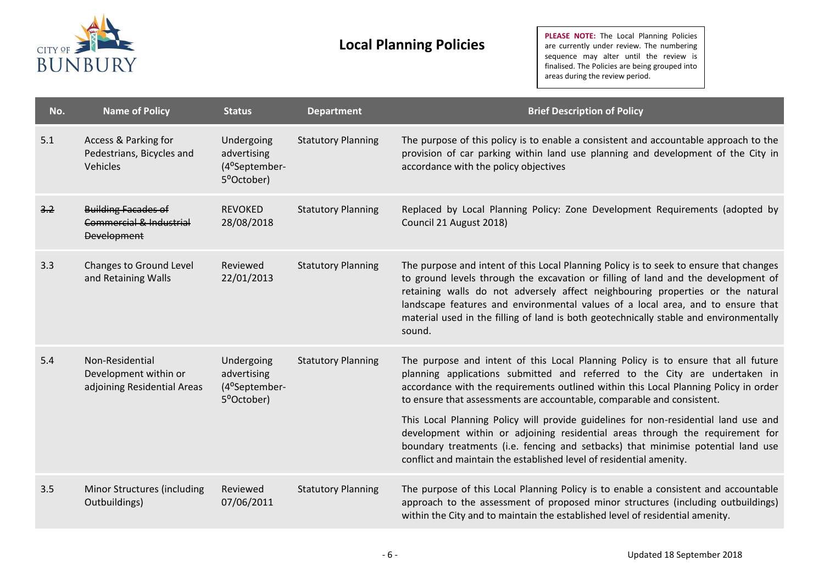

| No. | <b>Name of Policy</b>                                                       | <b>Status</b>                                            | <b>Department</b>         | <b>Brief Description of Policy</b>                                                                                                                                                                                                                                                                                                                                                                                                                   |
|-----|-----------------------------------------------------------------------------|----------------------------------------------------------|---------------------------|------------------------------------------------------------------------------------------------------------------------------------------------------------------------------------------------------------------------------------------------------------------------------------------------------------------------------------------------------------------------------------------------------------------------------------------------------|
| 5.1 | Access & Parking for<br>Pedestrians, Bicycles and<br>Vehicles               | Undergoing<br>advertising<br>(4°September-<br>5°October) | <b>Statutory Planning</b> | The purpose of this policy is to enable a consistent and accountable approach to the<br>provision of car parking within land use planning and development of the City in<br>accordance with the policy objectives                                                                                                                                                                                                                                    |
| 3.2 | <b>Building Facades of</b><br>Commercial & Industrial<br><b>Development</b> | <b>REVOKED</b><br>28/08/2018                             | <b>Statutory Planning</b> | Replaced by Local Planning Policy: Zone Development Requirements (adopted by<br>Council 21 August 2018)                                                                                                                                                                                                                                                                                                                                              |
| 3.3 | <b>Changes to Ground Level</b><br>and Retaining Walls                       | Reviewed<br>22/01/2013                                   | <b>Statutory Planning</b> | The purpose and intent of this Local Planning Policy is to seek to ensure that changes<br>to ground levels through the excavation or filling of land and the development of<br>retaining walls do not adversely affect neighbouring properties or the natural<br>landscape features and environmental values of a local area, and to ensure that<br>material used in the filling of land is both geotechnically stable and environmentally<br>sound. |
| 5.4 | Non-Residential<br>Development within or<br>adjoining Residential Areas     | Undergoing<br>advertising<br>(4°September-<br>5°October) | <b>Statutory Planning</b> | The purpose and intent of this Local Planning Policy is to ensure that all future<br>planning applications submitted and referred to the City are undertaken in<br>accordance with the requirements outlined within this Local Planning Policy in order<br>to ensure that assessments are accountable, comparable and consistent.                                                                                                                    |
|     |                                                                             |                                                          |                           | This Local Planning Policy will provide guidelines for non-residential land use and<br>development within or adjoining residential areas through the requirement for<br>boundary treatments (i.e. fencing and setbacks) that minimise potential land use<br>conflict and maintain the established level of residential amenity.                                                                                                                      |
| 3.5 | <b>Minor Structures (including</b><br>Outbuildings)                         | Reviewed<br>07/06/2011                                   | <b>Statutory Planning</b> | The purpose of this Local Planning Policy is to enable a consistent and accountable<br>approach to the assessment of proposed minor structures (including outbuildings)<br>within the City and to maintain the established level of residential amenity.                                                                                                                                                                                             |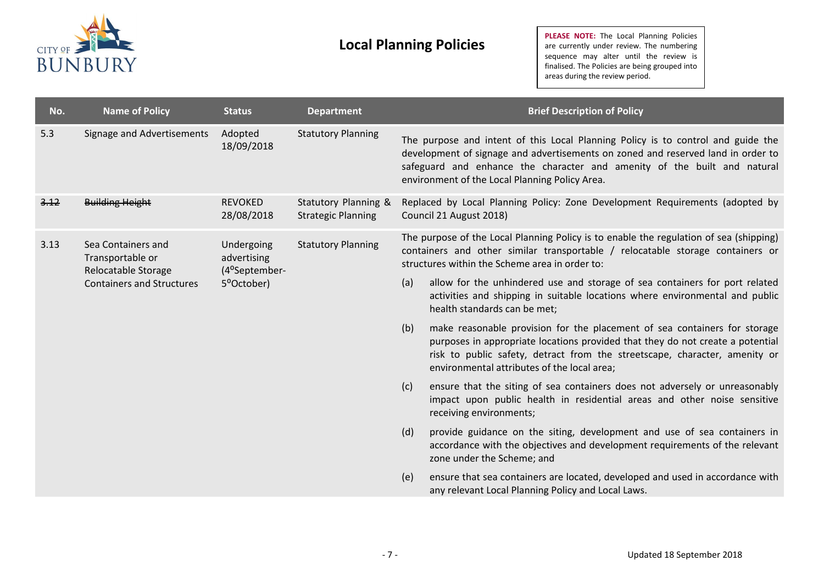

| No.  | <b>Name of Policy</b>                                                                             | <b>Status</b>                              | <b>Department</b>                                 |     | <b>Brief Description of Policy</b>                                                                                                                                                                                                                                                                 |
|------|---------------------------------------------------------------------------------------------------|--------------------------------------------|---------------------------------------------------|-----|----------------------------------------------------------------------------------------------------------------------------------------------------------------------------------------------------------------------------------------------------------------------------------------------------|
| 5.3  | Signage and Advertisements                                                                        | Adopted<br>18/09/2018                      | <b>Statutory Planning</b>                         |     | The purpose and intent of this Local Planning Policy is to control and guide the<br>development of signage and advertisements on zoned and reserved land in order to<br>safeguard and enhance the character and amenity of the built and natural<br>environment of the Local Planning Policy Area. |
| 3.12 | <b>Building Height</b>                                                                            | <b>REVOKED</b><br>28/08/2018               | Statutory Planning &<br><b>Strategic Planning</b> |     | Replaced by Local Planning Policy: Zone Development Requirements (adopted by<br>Council 21 August 2018)                                                                                                                                                                                            |
| 3.13 | Sea Containers and<br>Transportable or<br>Relocatable Storage<br><b>Containers and Structures</b> | Undergoing<br>advertising<br>(4°September- | <b>Statutory Planning</b>                         |     | The purpose of the Local Planning Policy is to enable the regulation of sea (shipping)<br>containers and other similar transportable / relocatable storage containers or<br>structures within the Scheme area in order to:                                                                         |
|      |                                                                                                   | 5°October)                                 |                                                   | (a) | allow for the unhindered use and storage of sea containers for port related<br>activities and shipping in suitable locations where environmental and public<br>health standards can be met;                                                                                                        |
|      |                                                                                                   |                                            |                                                   | (b) | make reasonable provision for the placement of sea containers for storage<br>purposes in appropriate locations provided that they do not create a potential<br>risk to public safety, detract from the streetscape, character, amenity or<br>environmental attributes of the local area;           |
|      |                                                                                                   |                                            |                                                   | (c) | ensure that the siting of sea containers does not adversely or unreasonably<br>impact upon public health in residential areas and other noise sensitive<br>receiving environments;                                                                                                                 |
|      |                                                                                                   |                                            |                                                   | (d) | provide guidance on the siting, development and use of sea containers in<br>accordance with the objectives and development requirements of the relevant<br>zone under the Scheme; and                                                                                                              |
|      |                                                                                                   |                                            |                                                   | (e) | ensure that sea containers are located, developed and used in accordance with<br>any relevant Local Planning Policy and Local Laws.                                                                                                                                                                |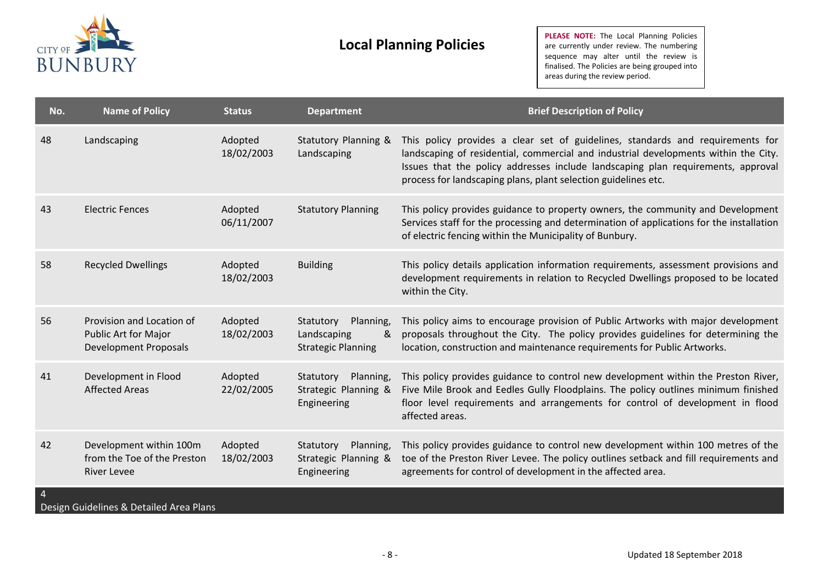

**PLEASE NOTE:** The Local Planning Policies are currently under review. The numbering sequence may alter until the review is finalised. The Policies are being grouped into areas during the review period.

| No.            | <b>Name of Policy</b>                                                             | <b>Status</b>         | <b>Department</b>                                                       | <b>Brief Description of Policy</b>                                                                                                                                                                                                                                                                                          |
|----------------|-----------------------------------------------------------------------------------|-----------------------|-------------------------------------------------------------------------|-----------------------------------------------------------------------------------------------------------------------------------------------------------------------------------------------------------------------------------------------------------------------------------------------------------------------------|
| 48             | Landscaping                                                                       | Adopted<br>18/02/2003 | Statutory Planning &<br>Landscaping                                     | This policy provides a clear set of guidelines, standards and requirements for<br>landscaping of residential, commercial and industrial developments within the City.<br>Issues that the policy addresses include landscaping plan requirements, approval<br>process for landscaping plans, plant selection guidelines etc. |
| 43             | <b>Electric Fences</b>                                                            | Adopted<br>06/11/2007 | <b>Statutory Planning</b>                                               | This policy provides guidance to property owners, the community and Development<br>Services staff for the processing and determination of applications for the installation<br>of electric fencing within the Municipality of Bunbury.                                                                                      |
| 58             | <b>Recycled Dwellings</b>                                                         | Adopted<br>18/02/2003 | <b>Building</b>                                                         | This policy details application information requirements, assessment provisions and<br>development requirements in relation to Recycled Dwellings proposed to be located<br>within the City.                                                                                                                                |
| 56             | Provision and Location of<br>Public Art for Major<br><b>Development Proposals</b> | Adopted<br>18/02/2003 | Planning,<br>Statutory<br>&<br>Landscaping<br><b>Strategic Planning</b> | This policy aims to encourage provision of Public Artworks with major development<br>proposals throughout the City. The policy provides guidelines for determining the<br>location, construction and maintenance requirements for Public Artworks.                                                                          |
| 41             | Development in Flood<br><b>Affected Areas</b>                                     | Adopted<br>22/02/2005 | Statutory<br>Planning,<br>Strategic Planning &<br>Engineering           | This policy provides guidance to control new development within the Preston River,<br>Five Mile Brook and Eedles Gully Floodplains. The policy outlines minimum finished<br>floor level requirements and arrangements for control of development in flood<br>affected areas.                                                |
| 42             | Development within 100m<br>from the Toe of the Preston<br><b>River Levee</b>      | Adopted<br>18/02/2003 | Planning,<br>Statutory<br>Strategic Planning &<br>Engineering           | This policy provides guidance to control new development within 100 metres of the<br>toe of the Preston River Levee. The policy outlines setback and fill requirements and<br>agreements for control of development in the affected area.                                                                                   |
| $\overline{4}$ |                                                                                   |                       |                                                                         |                                                                                                                                                                                                                                                                                                                             |

Design Guidelines & Detailed Area Plans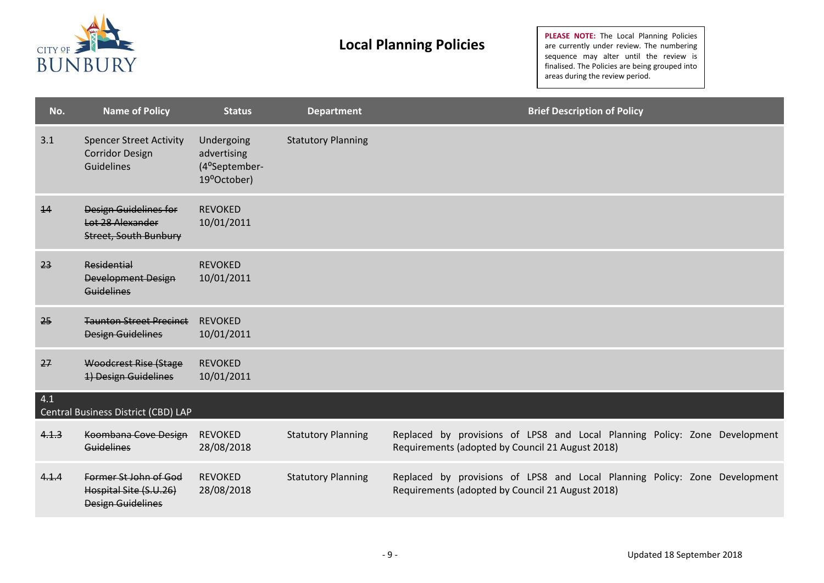

| No.   | <b>Name of Policy</b>                                                            | <b>Status</b>                                             | <b>Department</b>         | <b>Brief Description of Policy</b>                                                                                             |
|-------|----------------------------------------------------------------------------------|-----------------------------------------------------------|---------------------------|--------------------------------------------------------------------------------------------------------------------------------|
| 3.1   | <b>Spencer Street Activity</b><br><b>Corridor Design</b><br><b>Guidelines</b>    | Undergoing<br>advertising<br>(4°September-<br>19°October) | <b>Statutory Planning</b> |                                                                                                                                |
| 14    | <b>Design Guidelines for</b><br>Lot 28 Alexander<br><b>Street, South Bunbury</b> | <b>REVOKED</b><br>10/01/2011                              |                           |                                                                                                                                |
| 23    | Residential<br><b>Development Design</b><br><b>Guidelines</b>                    | <b>REVOKED</b><br>10/01/2011                              |                           |                                                                                                                                |
| 25    | <b>Taunton Street Precinct</b><br><b>Design Guidelines</b>                       | <b>REVOKED</b><br>10/01/2011                              |                           |                                                                                                                                |
| 27    | <b>Woodcrest Rise (Stage</b><br>1) Design Guidelines                             | <b>REVOKED</b><br>10/01/2011                              |                           |                                                                                                                                |
| 4.1   | Central Business District (CBD) LAP                                              |                                                           |                           |                                                                                                                                |
| 4.1.3 | Koombana Cove Design<br><b>Guidelines</b>                                        | <b>REVOKED</b><br>28/08/2018                              | <b>Statutory Planning</b> | Replaced by provisions of LPS8 and Local Planning Policy: Zone Development<br>Requirements (adopted by Council 21 August 2018) |
| 4.1.4 | Former St John of God<br>Hospital Site (S.U.26)<br><b>Design Guidelines</b>      | <b>REVOKED</b><br>28/08/2018                              | <b>Statutory Planning</b> | Replaced by provisions of LPS8 and Local Planning Policy: Zone Development<br>Requirements (adopted by Council 21 August 2018) |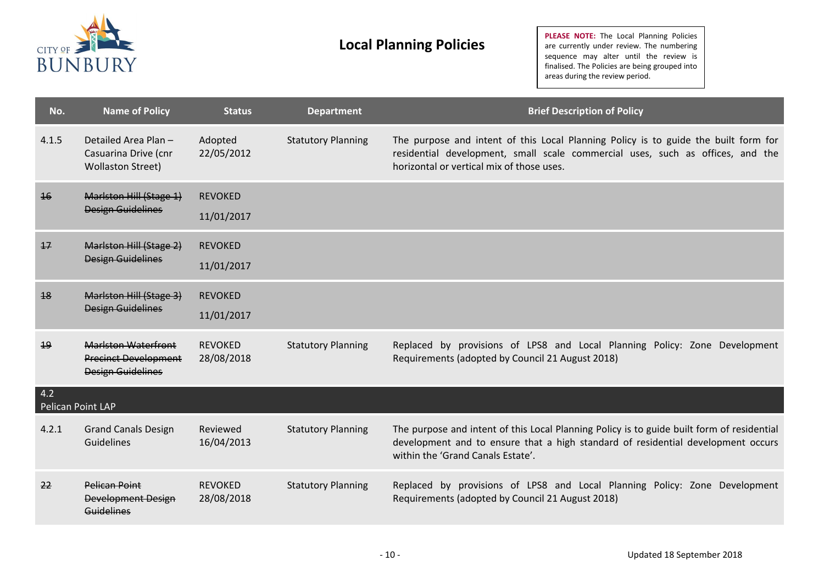

| No.                      | <b>Name of Policy</b>                                                                 | <b>Status</b>                | <b>Department</b>         | <b>Brief Description of Policy</b>                                                                                                                                                                                  |
|--------------------------|---------------------------------------------------------------------------------------|------------------------------|---------------------------|---------------------------------------------------------------------------------------------------------------------------------------------------------------------------------------------------------------------|
| 4.1.5                    | Detailed Area Plan -<br>Casuarina Drive (cnr<br><b>Wollaston Street)</b>              | Adopted<br>22/05/2012        | <b>Statutory Planning</b> | The purpose and intent of this Local Planning Policy is to guide the built form for<br>residential development, small scale commercial uses, such as offices, and the<br>horizontal or vertical mix of those uses.  |
| 16                       | Marlston Hill (Stage 1)<br><b>Design Guidelines</b>                                   | <b>REVOKED</b><br>11/01/2017 |                           |                                                                                                                                                                                                                     |
| $\overline{17}$          | Marlston Hill (Stage 2)<br><b>Design Guidelines</b>                                   | <b>REVOKED</b><br>11/01/2017 |                           |                                                                                                                                                                                                                     |
| 18                       | Marlston Hill (Stage 3)<br><b>Design Guidelines</b>                                   | <b>REVOKED</b><br>11/01/2017 |                           |                                                                                                                                                                                                                     |
| 19                       | <b>Marlston Waterfront</b><br><b>Precinct Development</b><br><b>Design Guidelines</b> | <b>REVOKED</b><br>28/08/2018 | <b>Statutory Planning</b> | Replaced by provisions of LPS8 and Local Planning Policy: Zone Development<br>Requirements (adopted by Council 21 August 2018)                                                                                      |
| 4.2<br>Pelican Point LAP |                                                                                       |                              |                           |                                                                                                                                                                                                                     |
| 4.2.1                    | <b>Grand Canals Design</b><br><b>Guidelines</b>                                       | Reviewed<br>16/04/2013       | <b>Statutory Planning</b> | The purpose and intent of this Local Planning Policy is to guide built form of residential<br>development and to ensure that a high standard of residential development occurs<br>within the 'Grand Canals Estate'. |
| 22                       | <b>Pelican Point</b><br><b>Development Design</b><br><b>Guidelines</b>                | <b>REVOKED</b><br>28/08/2018 | <b>Statutory Planning</b> | Replaced by provisions of LPS8 and Local Planning Policy: Zone Development<br>Requirements (adopted by Council 21 August 2018)                                                                                      |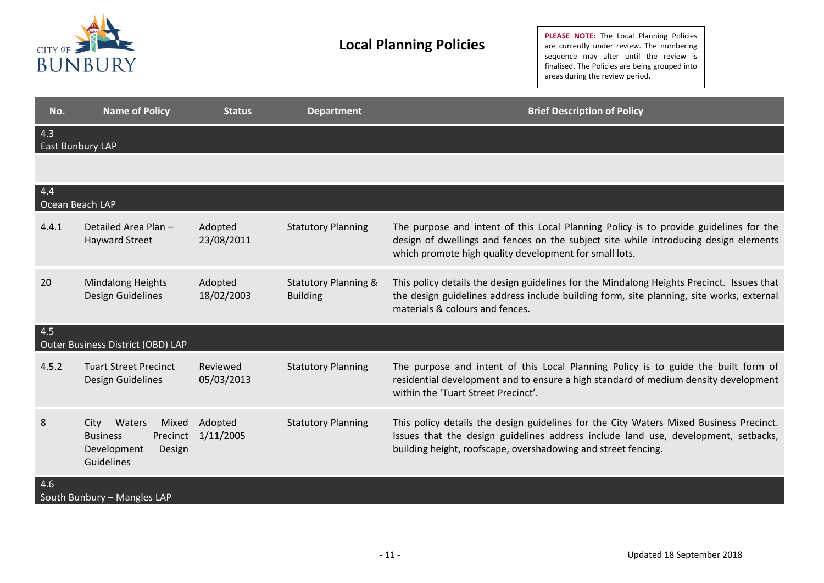

| No.                     | <b>Name of Policy</b>                                                                         | <b>Status</b>          | <b>Department</b>                                  | <b>Brief Description of Policy</b>                                                                                                                                                                                                            |
|-------------------------|-----------------------------------------------------------------------------------------------|------------------------|----------------------------------------------------|-----------------------------------------------------------------------------------------------------------------------------------------------------------------------------------------------------------------------------------------------|
| 4.3<br>East Bunbury LAP |                                                                                               |                        |                                                    |                                                                                                                                                                                                                                               |
|                         |                                                                                               |                        |                                                    |                                                                                                                                                                                                                                               |
| 4.4<br>Ocean Beach LAP  |                                                                                               |                        |                                                    |                                                                                                                                                                                                                                               |
| 4.4.1                   | Detailed Area Plan -<br><b>Hayward Street</b>                                                 | Adopted<br>23/08/2011  | <b>Statutory Planning</b>                          | The purpose and intent of this Local Planning Policy is to provide guidelines for the<br>design of dwellings and fences on the subject site while introducing design elements<br>which promote high quality development for small lots.       |
| 20                      | <b>Mindalong Heights</b><br>Design Guidelines                                                 | Adopted<br>18/02/2003  | <b>Statutory Planning &amp;</b><br><b>Building</b> | This policy details the design guidelines for the Mindalong Heights Precinct. Issues that<br>the design guidelines address include building form, site planning, site works, external<br>materials & colours and fences.                      |
| 4.5                     | Outer Business District (OBD) LAP                                                             |                        |                                                    |                                                                                                                                                                                                                                               |
| 4.5.2                   | <b>Tuart Street Precinct</b><br>Design Guidelines                                             | Reviewed<br>05/03/2013 | <b>Statutory Planning</b>                          | The purpose and intent of this Local Planning Policy is to guide the built form of<br>residential development and to ensure a high standard of medium density development<br>within the 'Tuart Street Precinct'.                              |
| 8                       | Waters<br>Mixed<br>City<br>Precinct<br><b>Business</b><br>Development<br>Design<br>Guidelines | Adopted<br>1/11/2005   | <b>Statutory Planning</b>                          | This policy details the design guidelines for the City Waters Mixed Business Precinct.<br>Issues that the design guidelines address include land use, development, setbacks,<br>building height, roofscape, overshadowing and street fencing. |
| 4.6                     | South Bunbury - Mangles LAP                                                                   |                        |                                                    |                                                                                                                                                                                                                                               |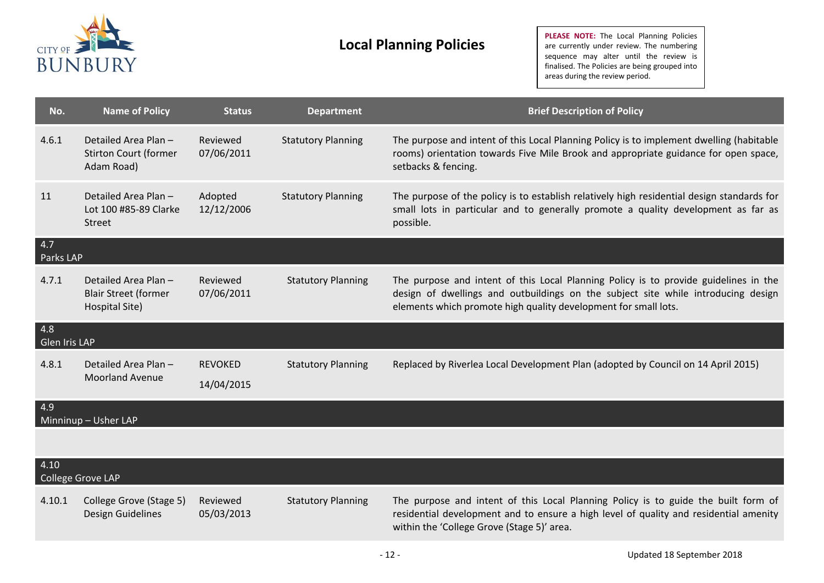

| No.                  | <b>Name of Policy</b>                                                | <b>Status</b>                | <b>Department</b>         | <b>Brief Description of Policy</b>                                                                                                                                                                                                           |
|----------------------|----------------------------------------------------------------------|------------------------------|---------------------------|----------------------------------------------------------------------------------------------------------------------------------------------------------------------------------------------------------------------------------------------|
| 4.6.1                | Detailed Area Plan -<br><b>Stirton Court (former</b><br>Adam Road)   | Reviewed<br>07/06/2011       | <b>Statutory Planning</b> | The purpose and intent of this Local Planning Policy is to implement dwelling (habitable<br>rooms) orientation towards Five Mile Brook and appropriate guidance for open space,<br>setbacks & fencing.                                       |
| 11                   | Detailed Area Plan-<br>Lot 100 #85-89 Clarke<br>Street               | Adopted<br>12/12/2006        | <b>Statutory Planning</b> | The purpose of the policy is to establish relatively high residential design standards for<br>small lots in particular and to generally promote a quality development as far as<br>possible.                                                 |
| 4.7<br>Parks LAP     |                                                                      |                              |                           |                                                                                                                                                                                                                                              |
| 4.7.1                | Detailed Area Plan-<br><b>Blair Street (former</b><br>Hospital Site) | Reviewed<br>07/06/2011       | <b>Statutory Planning</b> | The purpose and intent of this Local Planning Policy is to provide guidelines in the<br>design of dwellings and outbuildings on the subject site while introducing design<br>elements which promote high quality development for small lots. |
| 4.8<br>Glen Iris LAP |                                                                      |                              |                           |                                                                                                                                                                                                                                              |
| 4.8.1                | Detailed Area Plan -<br><b>Moorland Avenue</b>                       | <b>REVOKED</b><br>14/04/2015 | <b>Statutory Planning</b> | Replaced by Riverlea Local Development Plan (adopted by Council on 14 April 2015)                                                                                                                                                            |
| 4.9                  | Minninup - Usher LAP                                                 |                              |                           |                                                                                                                                                                                                                                              |
|                      |                                                                      |                              |                           |                                                                                                                                                                                                                                              |
| 4.10                 | College Grove LAP                                                    |                              |                           |                                                                                                                                                                                                                                              |
| 4.10.1               | College Grove (Stage 5)<br>Design Guidelines                         | Reviewed<br>05/03/2013       | <b>Statutory Planning</b> | The purpose and intent of this Local Planning Policy is to guide the built form of<br>residential development and to ensure a high level of quality and residential amenity<br>within the 'College Grove (Stage 5)' area.                    |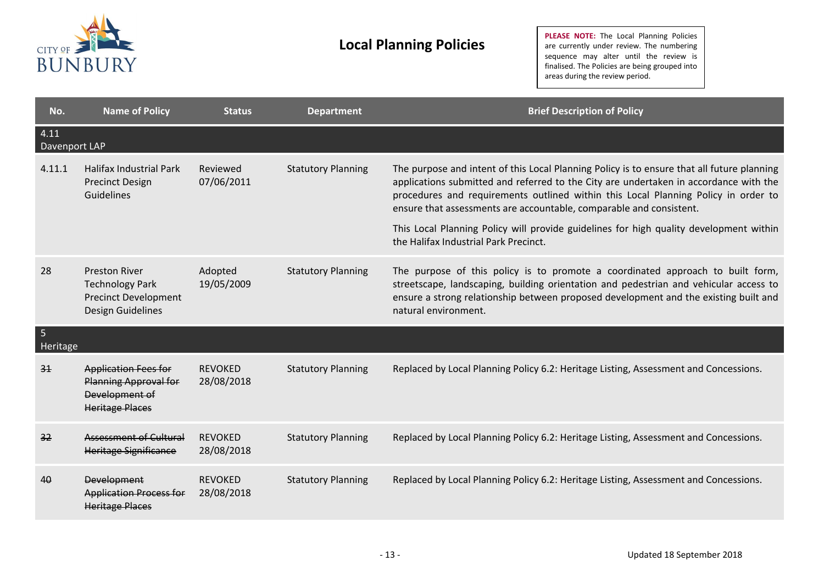

| No.                   | <b>Name of Policy</b>                                                                                   | <b>Status</b>                | <b>Department</b>         | <b>Brief Description of Policy</b>                                                                                                                                                                                                                                                                                                                                                                                                                                                  |
|-----------------------|---------------------------------------------------------------------------------------------------------|------------------------------|---------------------------|-------------------------------------------------------------------------------------------------------------------------------------------------------------------------------------------------------------------------------------------------------------------------------------------------------------------------------------------------------------------------------------------------------------------------------------------------------------------------------------|
| 4.11<br>Davenport LAP |                                                                                                         |                              |                           |                                                                                                                                                                                                                                                                                                                                                                                                                                                                                     |
| 4.11.1                | <b>Halifax Industrial Park</b><br><b>Precinct Design</b><br>Guidelines                                  | Reviewed<br>07/06/2011       | <b>Statutory Planning</b> | The purpose and intent of this Local Planning Policy is to ensure that all future planning<br>applications submitted and referred to the City are undertaken in accordance with the<br>procedures and requirements outlined within this Local Planning Policy in order to<br>ensure that assessments are accountable, comparable and consistent.<br>This Local Planning Policy will provide guidelines for high quality development within<br>the Halifax Industrial Park Precinct. |
| 28                    | <b>Preston River</b><br><b>Technology Park</b><br><b>Precinct Development</b><br>Design Guidelines      | Adopted<br>19/05/2009        | <b>Statutory Planning</b> | The purpose of this policy is to promote a coordinated approach to built form,<br>streetscape, landscaping, building orientation and pedestrian and vehicular access to<br>ensure a strong relationship between proposed development and the existing built and<br>natural environment.                                                                                                                                                                                             |
| 5<br>Heritage         |                                                                                                         |                              |                           |                                                                                                                                                                                                                                                                                                                                                                                                                                                                                     |
| 31                    | <b>Application Fees for</b><br><b>Planning Approval for</b><br>Development of<br><b>Heritage Places</b> | <b>REVOKED</b><br>28/08/2018 | <b>Statutory Planning</b> | Replaced by Local Planning Policy 6.2: Heritage Listing, Assessment and Concessions.                                                                                                                                                                                                                                                                                                                                                                                                |
| 32                    | <b>Assessment of Cultural</b><br>Heritage Significance                                                  | <b>REVOKED</b><br>28/08/2018 | <b>Statutory Planning</b> | Replaced by Local Planning Policy 6.2: Heritage Listing, Assessment and Concessions.                                                                                                                                                                                                                                                                                                                                                                                                |
| 40                    | <b>Development</b><br><b>Application Process for</b><br><b>Heritage Places</b>                          | <b>REVOKED</b><br>28/08/2018 | <b>Statutory Planning</b> | Replaced by Local Planning Policy 6.2: Heritage Listing, Assessment and Concessions.                                                                                                                                                                                                                                                                                                                                                                                                |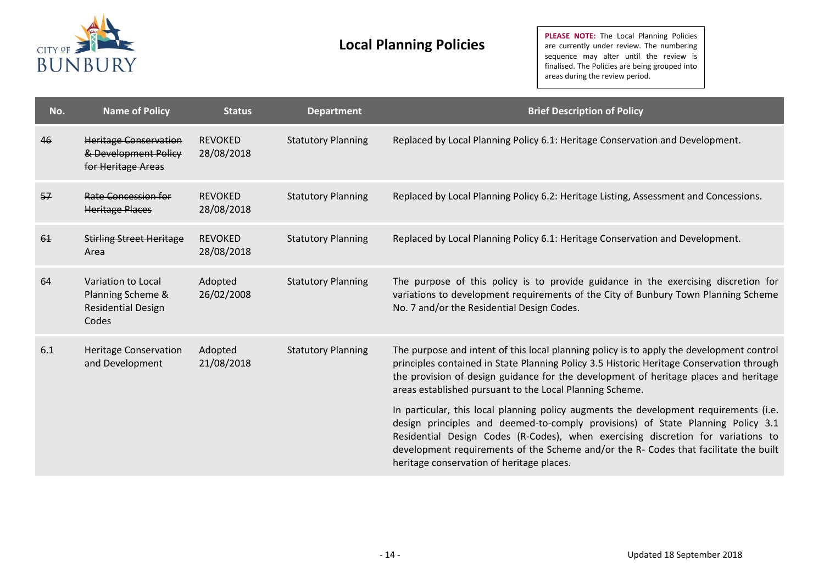

| No. | <b>Name of Policy</b>                                                         | <b>Status</b>                | <b>Department</b>         | <b>Brief Description of Policy</b>                                                                                                                                                                                                                                                                                                                                                                |
|-----|-------------------------------------------------------------------------------|------------------------------|---------------------------|---------------------------------------------------------------------------------------------------------------------------------------------------------------------------------------------------------------------------------------------------------------------------------------------------------------------------------------------------------------------------------------------------|
| 46  | <b>Heritage Conservation</b><br>& Development Policy<br>for Heritage Areas    | <b>REVOKED</b><br>28/08/2018 | <b>Statutory Planning</b> | Replaced by Local Planning Policy 6.1: Heritage Conservation and Development.                                                                                                                                                                                                                                                                                                                     |
| 57  | Rate Concession for<br><b>Heritage Places</b>                                 | <b>REVOKED</b><br>28/08/2018 | <b>Statutory Planning</b> | Replaced by Local Planning Policy 6.2: Heritage Listing, Assessment and Concessions.                                                                                                                                                                                                                                                                                                              |
| 61  | <b>Stirling Street Heritage</b><br>Area                                       | <b>REVOKED</b><br>28/08/2018 | <b>Statutory Planning</b> | Replaced by Local Planning Policy 6.1: Heritage Conservation and Development.                                                                                                                                                                                                                                                                                                                     |
| 64  | Variation to Local<br>Planning Scheme &<br><b>Residential Design</b><br>Codes | Adopted<br>26/02/2008        | <b>Statutory Planning</b> | The purpose of this policy is to provide guidance in the exercising discretion for<br>variations to development requirements of the City of Bunbury Town Planning Scheme<br>No. 7 and/or the Residential Design Codes.                                                                                                                                                                            |
| 6.1 | <b>Heritage Conservation</b><br>and Development                               | Adopted<br>21/08/2018        | <b>Statutory Planning</b> | The purpose and intent of this local planning policy is to apply the development control<br>principles contained in State Planning Policy 3.5 Historic Heritage Conservation through<br>the provision of design guidance for the development of heritage places and heritage<br>areas established pursuant to the Local Planning Scheme.                                                          |
|     |                                                                               |                              |                           | In particular, this local planning policy augments the development requirements (i.e.<br>design principles and deemed-to-comply provisions) of State Planning Policy 3.1<br>Residential Design Codes (R-Codes), when exercising discretion for variations to<br>development requirements of the Scheme and/or the R- Codes that facilitate the built<br>heritage conservation of heritage places. |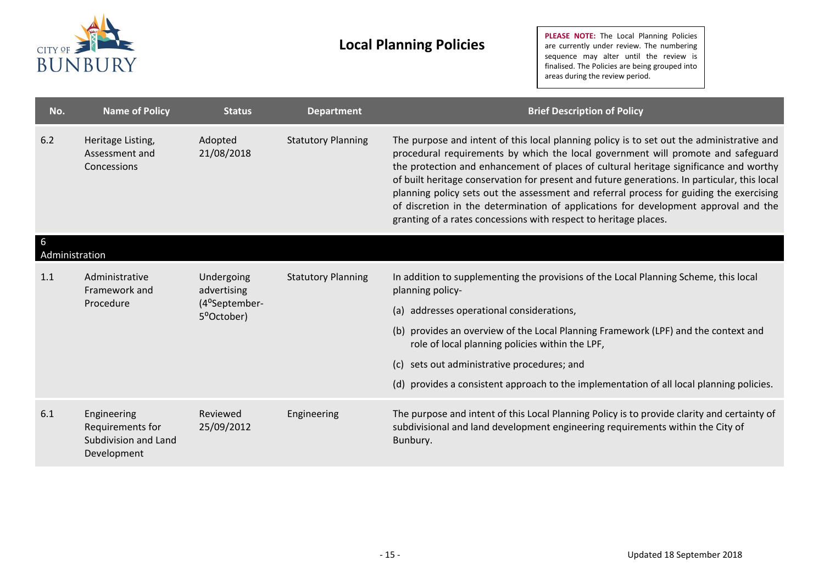

| No.                 | <b>Name of Policy</b>                                                  | <b>Status</b>                                            | <b>Department</b>         | <b>Brief Description of Policy</b>                                                                                                                                                                                                                                                                                                                                                                                                                                                                                                                                                                                           |  |  |
|---------------------|------------------------------------------------------------------------|----------------------------------------------------------|---------------------------|------------------------------------------------------------------------------------------------------------------------------------------------------------------------------------------------------------------------------------------------------------------------------------------------------------------------------------------------------------------------------------------------------------------------------------------------------------------------------------------------------------------------------------------------------------------------------------------------------------------------------|--|--|
| 6.2                 | Heritage Listing,<br>Assessment and<br>Concessions                     | Adopted<br>21/08/2018                                    | <b>Statutory Planning</b> | The purpose and intent of this local planning policy is to set out the administrative and<br>procedural requirements by which the local government will promote and safeguard<br>the protection and enhancement of places of cultural heritage significance and worthy<br>of built heritage conservation for present and future generations. In particular, this local<br>planning policy sets out the assessment and referral process for guiding the exercising<br>of discretion in the determination of applications for development approval and the<br>granting of a rates concessions with respect to heritage places. |  |  |
| 6<br>Administration |                                                                        |                                                          |                           |                                                                                                                                                                                                                                                                                                                                                                                                                                                                                                                                                                                                                              |  |  |
| 1.1                 | Administrative<br>Framework and<br>Procedure                           | Undergoing<br>advertising<br>(4°September-<br>5°October) | <b>Statutory Planning</b> | In addition to supplementing the provisions of the Local Planning Scheme, this local<br>planning policy-                                                                                                                                                                                                                                                                                                                                                                                                                                                                                                                     |  |  |
|                     |                                                                        |                                                          |                           | (a) addresses operational considerations,                                                                                                                                                                                                                                                                                                                                                                                                                                                                                                                                                                                    |  |  |
|                     |                                                                        |                                                          |                           | (b) provides an overview of the Local Planning Framework (LPF) and the context and<br>role of local planning policies within the LPF,                                                                                                                                                                                                                                                                                                                                                                                                                                                                                        |  |  |
|                     |                                                                        |                                                          |                           | (c) sets out administrative procedures; and                                                                                                                                                                                                                                                                                                                                                                                                                                                                                                                                                                                  |  |  |
|                     |                                                                        |                                                          |                           | (d) provides a consistent approach to the implementation of all local planning policies.                                                                                                                                                                                                                                                                                                                                                                                                                                                                                                                                     |  |  |
| 6.1                 | Engineering<br>Requirements for<br>Subdivision and Land<br>Development | Reviewed<br>25/09/2012                                   | Engineering               | The purpose and intent of this Local Planning Policy is to provide clarity and certainty of<br>subdivisional and land development engineering requirements within the City of<br>Bunbury.                                                                                                                                                                                                                                                                                                                                                                                                                                    |  |  |